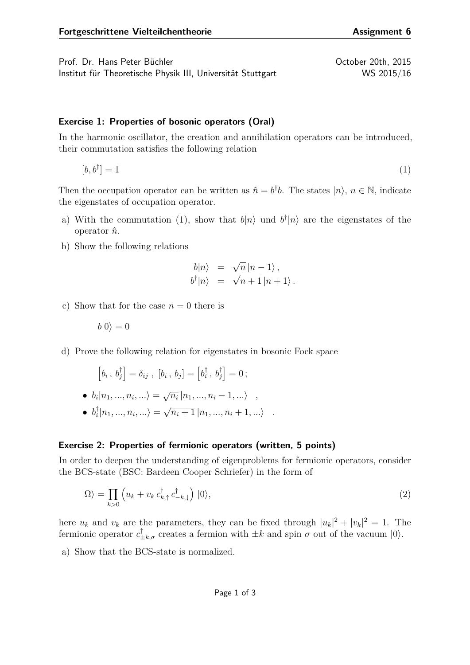Prof. Dr. Hans Peter Büchler Christian Australian Corp. 2015 Institut für Theoretische Physik III, Universität Stuttgart WS 2015/16

## **Exercise 1: Properties of bosonic operators (Oral)**

In the harmonic oscillator, the creation and annihilation operators can be introduced, their commutation satisfies the following relation

$$
[b, b^{\dagger}] = 1 \tag{1}
$$

Then the occupation operator can be written as  $\hat{n} = b^{\dagger}b$ . The states  $|n\rangle$ ,  $n \in \mathbb{N}$ , indicate the eigenstates of occupation operator.

- a) With the commutation [\(1\)](#page-0-0), show that  $b|n\rangle$  und  $b^{\dagger}|n\rangle$  are the eigenstates of the operator *n*ˆ.
- b) Show the following relations

$$
b|n\rangle = \sqrt{n}|n-1\rangle,
$$
  
\n
$$
b^{\dagger}|n\rangle = \sqrt{n+1}|n+1\rangle.
$$

c) Show that for the case  $n = 0$  there is

$$
b|0\rangle=0
$$

d) Prove the following relation for eigenstates in bosonic Fock space

$$
\left[b_i\,,\,b_j^\dagger\right]=\delta_{ij}\;,\;[b_i\,,\,b_j]=\left[b_i^\dagger\,,\,b_j^\dagger\right]=0\,;
$$

• 
$$
b_i | n_1, ..., n_i, ... \rangle = \sqrt{n_i} | n_1, ..., n_i - 1, ... \rangle
$$
,

 $\bullet$   $b_i^{\dagger}$  $\binom{7}{i}$   $\ket{n_1, ..., n_i, ...} =$ √  $\overline{n_i+1} |n_1, ..., n_i+1, ...\rangle$ .

## **Exercise 2: Properties of fermionic operators (written, 5 points)**

In order to deepen the understanding of eigenproblems for fermionic operators, consider the BCS-state (BSC: Bardeen Cooper Schriefer) in the form of

$$
|\Omega\rangle = \prod_{k>0} \left( u_k + v_k c_{k,\uparrow}^\dagger c_{-k,\downarrow}^\dagger \right) |0\rangle,\tag{2}
$$

here  $u_k$  and  $v_k$  are the parameters, they can be fixed through  $|u_k|^2 + |v_k|^2 = 1$ . The fermionic operator  $c^{\dagger}_{\pm k,\sigma}$  creates a fermion with  $\pm k$  and spin  $\sigma$  out of the vacuum  $|0\rangle$ .

a) Show that the BCS-state is normalized.

<span id="page-0-0"></span>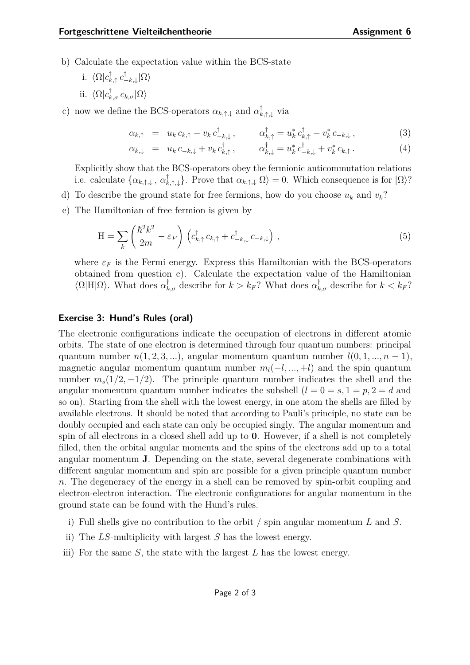- b) Calculate the expectation value within the BCS-state
	- i.  $\langle \Omega | c_k^{\dagger}$ *k,*↑ *c* †  $\frac{1}{-k, \downarrow}|\Omega\rangle$ ii.  $\langle \Omega | c_{k,\sigma}^{\dagger} c_{k,\sigma} | \Omega \rangle$
- c) now we define the BCS-operators  $\alpha_{k,\uparrow,\downarrow}$  and  $\alpha^{\dagger}_{k,\uparrow,\downarrow}$  via

$$
\alpha_{k,\uparrow} = u_k c_{k,\uparrow} - v_k c_{-k,\downarrow}^{\dagger}, \qquad \alpha_{k,\uparrow}^{\dagger} = u_k^* c_{k,\uparrow}^{\dagger} - v_k^* c_{-k,\downarrow}, \qquad (3)
$$

$$
\alpha_{k,\downarrow} = u_k c_{-k,\downarrow} + v_k c_{k,\uparrow}^{\dagger}, \qquad \alpha_{k,\downarrow}^{\dagger} = u_k^* c_{-k,\downarrow}^{\dagger} + v_k^* c_{k,\uparrow}.
$$
 (4)

Explicitly show that the BCS-operators obey the fermionic anticommutation relations i.e. calculate  $\{\alpha_{k,\uparrow,\downarrow}, \alpha_k^{\dagger}\}$  $\{k, \uparrow, \downarrow\}$ . Prove that  $\alpha_{k, \uparrow, \downarrow} | \Omega \rangle = 0$ . Which consequence is for  $| \Omega \rangle$ ?

- d) To describe the ground state for free fermions, how do you choose  $u_k$  and  $v_k$ ?
- e) The Hamiltonian of free fermion is given by

$$
H = \sum_{k} \left( \frac{\hbar^2 k^2}{2m} - \varepsilon_F \right) \left( c_{k,\uparrow}^{\dagger} c_{k,\uparrow} + c_{-k,\downarrow}^{\dagger} c_{-k,\downarrow} \right) , \qquad (5)
$$

where  $\varepsilon_F$  is the Fermi energy. Express this Hamiltonian with the BCS-operators obtained from question c). Calculate the expectation value of the Hamiltonian  $\langle \Omega | H | \Omega \rangle$ . What does  $\alpha_{k,\sigma}^{\dagger}$  describe for  $k > k_F$ ? What does  $\alpha_{k,\sigma}^{\dagger}$  describe for  $k < k_F$ ?

## **Exercise 3: Hund's Rules (oral)**

The electronic configurations indicate the occupation of electrons in different atomic orbits. The state of one electron is determined through four quantum numbers: principal quantum number  $n(1, 2, 3, \ldots)$ , angular momentum quantum number  $l(0, 1, \ldots, n-1)$ , magnetic angular momentum quantum number  $m_l(-l, ..., +l)$  and the spin quantum number  $m_s(1/2, -1/2)$ . The principle quantum number indicates the shell and the angular momentum quantum number indicates the subshell  $(l = 0 = s, 1 = p, 2 = d$  and so on). Starting from the shell with the lowest energy, in one atom the shells are filled by available electrons. It should be noted that according to Pauli's principle, no state can be doubly occupied and each state can only be occupied singly. The angular momentum and spin of all electrons in a closed shell add up to **0**. However, if a shell is not completely filled, then the orbital angular momenta and the spins of the electrons add up to a total angular momentum **J**. Depending on the state, several degenerate combinations with different angular momentum and spin are possible for a given principle quantum number *n*. The degeneracy of the energy in a shell can be removed by spin-orbit coupling and electron-electron interaction. The electronic configurations for angular momentum in the ground state can be found with the Hund's rules.

- i) Full shells give no contribution to the orbit / spin angular momentum *L* and *S*.
- ii) The *LS*-multiplicity with largest *S* has the lowest energy.
- iii) For the same *S*, the state with the largest *L* has the lowest energy.